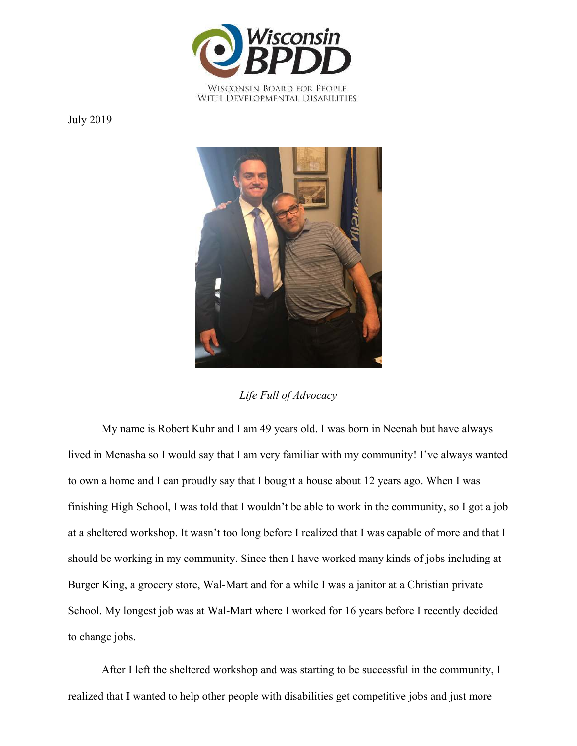

WITH DEVELOPMENTAL DISABILITIES

July 2019



*Life Full of Advocacy*

My name is Robert Kuhr and I am 49 years old. I was born in Neenah but have always lived in Menasha so I would say that I am very familiar with my community! I've always wanted to own a home and I can proudly say that I bought a house about 12 years ago. When I was finishing High School, I was told that I wouldn't be able to work in the community, so I got a job at a sheltered workshop. It wasn't too long before I realized that I was capable of more and that I should be working in my community. Since then I have worked many kinds of jobs including at Burger King, a grocery store, Wal-Mart and for a while I was a janitor at a Christian private School. My longest job was at Wal-Mart where I worked for 16 years before I recently decided to change jobs.

After I left the sheltered workshop and was starting to be successful in the community, I realized that I wanted to help other people with disabilities get competitive jobs and just more